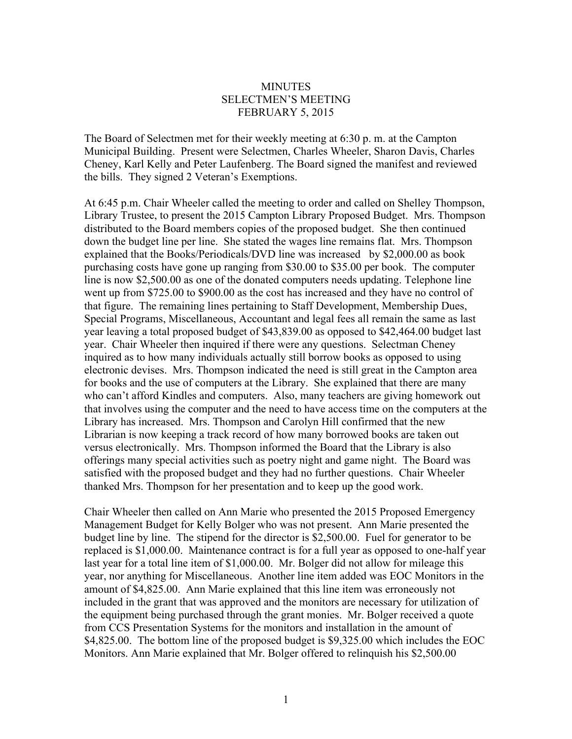## **MINUTES** SELECTMEN'S MEETING FEBRUARY 5, 2015

The Board of Selectmen met for their weekly meeting at 6:30 p. m. at the Campton Municipal Building. Present were Selectmen, Charles Wheeler, Sharon Davis, Charles Cheney, Karl Kelly and Peter Laufenberg. The Board signed the manifest and reviewed the bills. They signed 2 Veteran's Exemptions.

At 6:45 p.m. Chair Wheeler called the meeting to order and called on Shelley Thompson, Library Trustee, to present the 2015 Campton Library Proposed Budget. Mrs. Thompson distributed to the Board members copies of the proposed budget. She then continued down the budget line per line. She stated the wages line remains flat. Mrs. Thompson explained that the Books/Periodicals/DVD line was increased by \$2,000.00 as book purchasing costs have gone up ranging from \$30.00 to \$35.00 per book. The computer line is now \$2,500.00 as one of the donated computers needs updating. Telephone line went up from \$725.00 to \$900.00 as the cost has increased and they have no control of that figure. The remaining lines pertaining to Staff Development, Membership Dues, Special Programs, Miscellaneous, Accountant and legal fees all remain the same as last year leaving a total proposed budget of \$43,839.00 as opposed to \$42,464.00 budget last year. Chair Wheeler then inquired if there were any questions. Selectman Cheney inquired as to how many individuals actually still borrow books as opposed to using electronic devises. Mrs. Thompson indicated the need is still great in the Campton area for books and the use of computers at the Library. She explained that there are many who can't afford Kindles and computers. Also, many teachers are giving homework out that involves using the computer and the need to have access time on the computers at the Library has increased. Mrs. Thompson and Carolyn Hill confirmed that the new Librarian is now keeping a track record of how many borrowed books are taken out versus electronically. Mrs. Thompson informed the Board that the Library is also offerings many special activities such as poetry night and game night. The Board was satisfied with the proposed budget and they had no further questions. Chair Wheeler thanked Mrs. Thompson for her presentation and to keep up the good work.

Chair Wheeler then called on Ann Marie who presented the 2015 Proposed Emergency Management Budget for Kelly Bolger who was not present. Ann Marie presented the budget line by line. The stipend for the director is \$2,500.00. Fuel for generator to be replaced is \$1,000.00. Maintenance contract is for a full year as opposed to one-half year last year for a total line item of \$1,000.00. Mr. Bolger did not allow for mileage this year, nor anything for Miscellaneous. Another line item added was EOC Monitors in the amount of \$4,825.00. Ann Marie explained that this line item was erroneously not included in the grant that was approved and the monitors are necessary for utilization of the equipment being purchased through the grant monies. Mr. Bolger received a quote from CCS Presentation Systems for the monitors and installation in the amount of \$4,825.00. The bottom line of the proposed budget is \$9,325.00 which includes the EOC Monitors. Ann Marie explained that Mr. Bolger offered to relinquish his \$2,500.00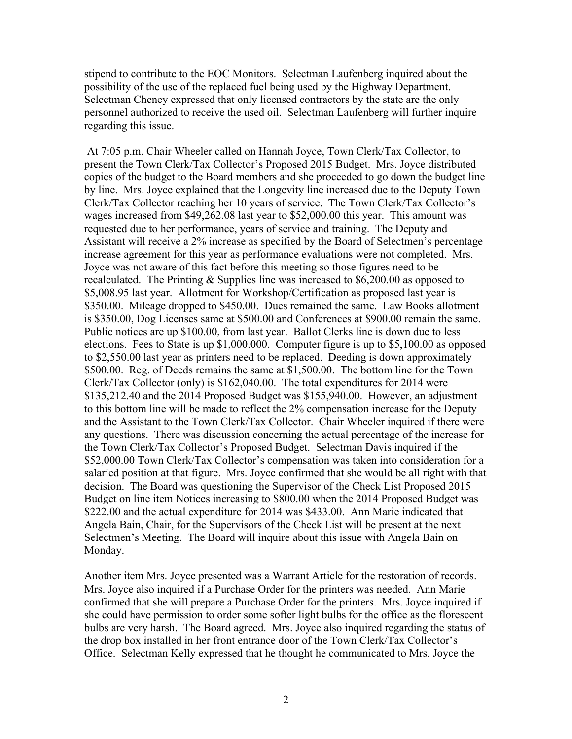stipend to contribute to the EOC Monitors. Selectman Laufenberg inquired about the possibility of the use of the replaced fuel being used by the Highway Department. Selectman Cheney expressed that only licensed contractors by the state are the only personnel authorized to receive the used oil. Selectman Laufenberg will further inquire regarding this issue.

At 7:05 p.m. Chair Wheeler called on Hannah Joyce, Town Clerk/Tax Collector, to present the Town Clerk/Tax Collector's Proposed 2015 Budget. Mrs. Joyce distributed copies of the budget to the Board members and she proceeded to go down the budget line by line. Mrs. Joyce explained that the Longevity line increased due to the Deputy Town Clerk/Tax Collector reaching her 10 years of service. The Town Clerk/Tax Collector's wages increased from \$49,262.08 last year to \$52,000.00 this year. This amount was requested due to her performance, years of service and training. The Deputy and Assistant will receive a 2% increase as specified by the Board of Selectmen's percentage increase agreement for this year as performance evaluations were not completed. Mrs. Joyce was not aware of this fact before this meeting so those figures need to be recalculated. The Printing & Supplies line was increased to \$6,200.00 as opposed to \$5,008.95 last year. Allotment for Workshop/Certification as proposed last year is \$350.00. Mileage dropped to \$450.00. Dues remained the same. Law Books allotment is \$350.00, Dog Licenses same at \$500.00 and Conferences at \$900.00 remain the same. Public notices are up \$100.00, from last year. Ballot Clerks line is down due to less elections. Fees to State is up \$1,000.000. Computer figure is up to \$5,100.00 as opposed to \$2,550.00 last year as printers need to be replaced. Deeding is down approximately \$500.00. Reg. of Deeds remains the same at \$1,500.00. The bottom line for the Town Clerk/Tax Collector (only) is \$162,040.00. The total expenditures for 2014 were \$135,212.40 and the 2014 Proposed Budget was \$155,940.00. However, an adjustment to this bottom line will be made to reflect the 2% compensation increase for the Deputy and the Assistant to the Town Clerk/Tax Collector. Chair Wheeler inquired if there were any questions. There was discussion concerning the actual percentage of the increase for the Town Clerk/Tax Collector's Proposed Budget. Selectman Davis inquired if the \$52,000.00 Town Clerk/Tax Collector's compensation was taken into consideration for a salaried position at that figure. Mrs. Joyce confirmed that she would be all right with that decision. The Board was questioning the Supervisor of the Check List Proposed 2015 Budget on line item Notices increasing to \$800.00 when the 2014 Proposed Budget was \$222.00 and the actual expenditure for 2014 was \$433.00. Ann Marie indicated that Angela Bain, Chair, for the Supervisors of the Check List will be present at the next Selectmen's Meeting. The Board will inquire about this issue with Angela Bain on Monday.

Another item Mrs. Joyce presented was a Warrant Article for the restoration of records. Mrs. Joyce also inquired if a Purchase Order for the printers was needed. Ann Marie confirmed that she will prepare a Purchase Order for the printers. Mrs. Joyce inquired if she could have permission to order some softer light bulbs for the office as the florescent bulbs are very harsh. The Board agreed. Mrs. Joyce also inquired regarding the status of the drop box installed in her front entrance door of the Town Clerk/Tax Collector's Office. Selectman Kelly expressed that he thought he communicated to Mrs. Joyce the